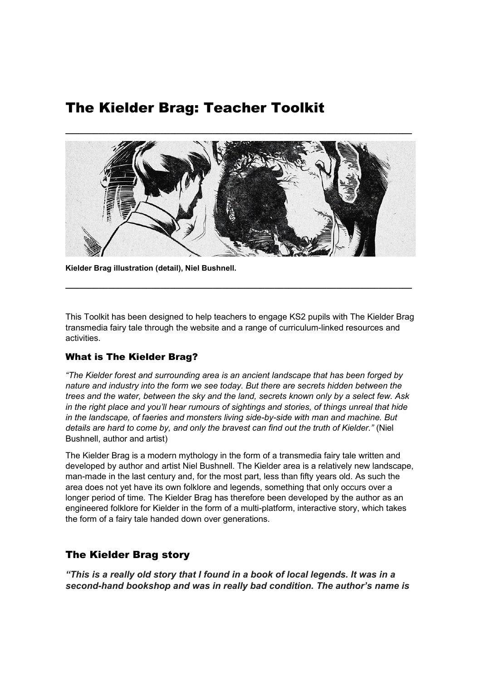# The Kielder Brag: Teacher Toolkit



**Kielder Brag illustration (detail), Niel Bushnell.**

This Toolkit has been designed to help teachers to engage KS2 pupils with The Kielder Brag transmedia fairy tale through the website and a range of curriculum-linked resources and activities.

**\_\_\_\_\_\_\_\_\_\_\_\_\_\_\_\_\_\_\_\_\_\_\_\_\_\_\_\_\_\_\_\_\_\_\_\_\_\_\_\_\_\_\_\_\_\_\_\_\_\_\_\_\_\_\_\_\_\_\_\_\_\_\_\_\_\_\_\_\_\_\_\_\_**

# What is The Kielder Brag?

*"The Kielder forest and surrounding area is an ancient landscape that has been forged by nature and industry into the form we see today. But there are secrets hidden between the trees and the water, between the sky and the land, secrets known only by a select few. Ask in the right place and you'll hear rumours of sightings and stories, of things unreal that hide in the landscape, of faeries and monsters living side-by-side with man and machine. But details are hard to come by, and only the bravest can find out the truth of Kielder."* (Niel Bushnell, author and artist)

The Kielder Brag is a modern mythology in the form of a transmedia fairy tale written and developed by author and artist Niel Bushnell. The Kielder area is a relatively new landscape, man-made in the last century and, for the most part, less than fifty years old. As such the area does not yet have its own folklore and legends, something that only occurs over a longer period of time. The Kielder Brag has therefore been developed by the author as an engineered folklore for Kielder in the form of a multi-platform, interactive story, which takes the form of a fairy tale handed down over generations.

# The Kielder Brag story

*"This is a really old story that I found in a book of local legends. It was in a second-hand bookshop and was in really bad condition. The author's name is*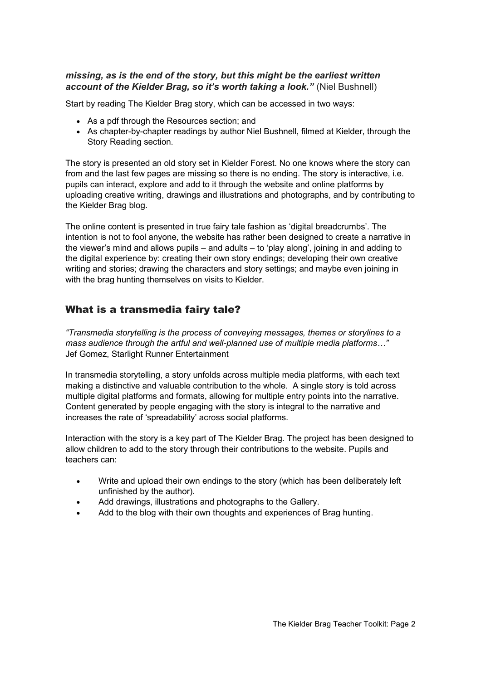## *missing, as is the end of the story, but this might be the earliest written account of the Kielder Brag, so it's worth taking a look."* (Niel Bushnell)

Start by reading The Kielder Brag story, which can be accessed in two ways:

- As a pdf through the Resources section; and
- As chapter-by-chapter readings by author Niel Bushnell, filmed at Kielder, through the Story Reading section.

The story is presented an old story set in Kielder Forest. No one knows where the story can from and the last few pages are missing so there is no ending. The story is interactive, i.e. pupils can interact, explore and add to it through the website and online platforms by uploading creative writing, drawings and illustrations and photographs, and by contributing to the Kielder Brag blog.

The online content is presented in true fairy tale fashion as 'digital breadcrumbs'. The intention is not to fool anyone, the website has rather been designed to create a narrative in the viewer's mind and allows pupils – and adults – to 'play along', joining in and adding to the digital experience by: creating their own story endings; developing their own creative writing and stories; drawing the characters and story settings; and maybe even joining in with the brag hunting themselves on visits to Kielder.

# What is a transmedia fairy tale?

*"Transmedia storytelling is the process of conveying messages, themes or storylines to a mass audience through the artful and well-planned use of multiple media platforms…"* Jef Gomez, Starlight Runner Entertainment

In transmedia storytelling, a story unfolds across multiple media platforms, with each text making a distinctive and valuable contribution to the whole. A single story is told across multiple digital platforms and formats, allowing for multiple entry points into the narrative. Content generated by people engaging with the story is integral to the narrative and increases the rate of 'spreadability' across social platforms.

Interaction with the story is a key part of The Kielder Brag. The project has been designed to allow children to add to the story through their contributions to the website. Pupils and teachers can:

- Write and upload their own endings to the story (which has been deliberately left unfinished by the author).
- Add drawings, illustrations and photographs to the Gallery.
- Add to the blog with their own thoughts and experiences of Brag hunting.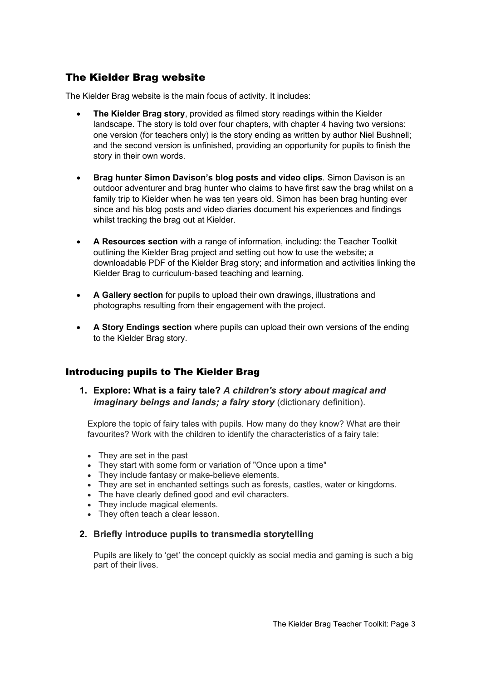# The Kielder Brag website

The Kielder Brag website is the main focus of activity. It includes:

- **The Kielder Brag story**, provided as filmed story readings within the Kielder landscape. The story is told over four chapters, with chapter 4 having two versions: one version (for teachers only) is the story ending as written by author Niel Bushnell; and the second version is unfinished, providing an opportunity for pupils to finish the story in their own words.
- **Brag hunter Simon Davison's blog posts and video clips**. Simon Davison is an outdoor adventurer and brag hunter who claims to have first saw the brag whilst on a family trip to Kielder when he was ten years old. Simon has been brag hunting ever since and his blog posts and video diaries document his experiences and findings whilst tracking the brag out at Kielder.
- **A Resources section** with a range of information, including: the Teacher Toolkit outlining the Kielder Brag project and setting out how to use the website; a downloadable PDF of the Kielder Brag story; and information and activities linking the Kielder Brag to curriculum-based teaching and learning.
- **A Gallery section** for pupils to upload their own drawings, illustrations and photographs resulting from their engagement with the project.
- **A Story Endings section** where pupils can upload their own versions of the ending to the Kielder Brag story.

## Introducing pupils to The Kielder Brag

**1. Explore: What is a fairy tale?** *A children's story about magical and imaginary beings and lands; a fairy story (dictionary definition).* 

Explore the topic of fairy tales with pupils. How many do they know? What are their favourites? Work with the children to identify the characteristics of a fairy tale:

- They are set in the past
- They start with some form or variation of "Once upon a time"
- They include fantasy or make-believe elements.
- They are set in enchanted settings such as forests, castles, water or kingdoms.
- The have clearly defined good and evil characters.
- They include magical elements.
- They often teach a clear lesson.

#### **2. Briefly introduce pupils to transmedia storytelling**

Pupils are likely to 'get' the concept quickly as social media and gaming is such a big part of their lives.